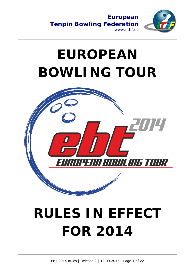



# **EUROPEAN BOWLING TOUR**



# **RULES IN EFFECT FOR 2014**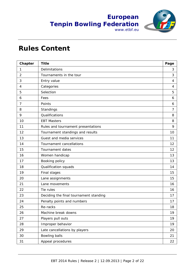



## **Rules Content**

| Chapter        | <b>Title</b>                           | Page |
|----------------|----------------------------------------|------|
| 1              | Delimitations                          | 3    |
| $\overline{2}$ | Tournaments in the tour                | 3    |
| 3              | Entry value                            | 4    |
| 4              | Categories                             | 4    |
| 5              | Selection                              | 5    |
| 6              | Fees                                   | 6    |
| 7              | Points                                 | 6    |
| 8              | Standings                              | 7    |
| 9              | Qualifications                         | 8    |
| 10             | <b>EBT Masters</b>                     | 8    |
| 11             | Rules and tournament presentations     | 9    |
| 12             | Tournament standings and results       | 10   |
| 13             | Guest and media services               | 11   |
| 14             | Tournament cancellations               | 12   |
| 15             | <b>Tournament dates</b>                | 12   |
| 16             | Women handicap                         | 13   |
| 17             | Booking policy                         | 13   |
| 18             | Qualification squads                   | 14   |
| 19             | Final stages                           | 15   |
| 20             | Lane assignments                       | 15   |
| 21             | Lane movements                         | 16   |
| 22             | Tie rules                              | 16   |
| 23             | Deciding the final tournament standing | 17   |
| 24             | Penalty points and numbers             | 17   |
| 25             | Re-racks                               | 18   |
| 26             | Machine break downs                    | 19   |
| 27             | Players pull outs                      | 19   |
| 28             | Improper behavior                      | 19   |
| 29             | Late cancellations by players          | 20   |
| 30             | Bowling balls                          | 21   |
| 31             | Appeal procedures                      | 22   |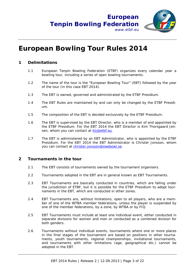

## **European Bowling Tour Rules 2014**

#### **1 Delimitations**

- 1.1 European Tenpin Bowling Federation (ETBF) organizes every calendar year a bowling tour, including a series of open bowling tournaments.
- 1.2 The name of the tour is the "European Bowling Tour" (EBT) followed by the year of the tour (in this case EBT 2014).
- 1.3 The EBT is owned, governed and administrated by the ETBF Presidium.
- 1.4 The EBT Rules are maintained by and can only be changed by the ETBF Presidium.
- 1.5 The composition of the EBT is decided exclusively by the ETBF Presidium.
- 1.6 The EBT is supervised by the EBT Director, who is a member of and appointed by the ETBF Presidium. For the EBT 2014 the EBT Director is Kim Thorsgaard Jensen, whom you can contact at ktj@etbf.eu.
- 1.7 The EBT is administered by an EBT Administrator, who is appointed by the ETBF Presidium. For the EBT 2014 the EBT Administrator is Christer Jonsson, whom you can contact at christer.jonsson@swebowl.se.

#### **2 Tournaments in the tour**

- 2.1 The EBT consists of tournaments owned by the tournament organisers.
- 2.2 Tournaments adopted in the EBT are in general known as EBT Tournaments.
- 2.3 EBT Tournaments are basically conducted in countries, which are falling under the jurisdiction of ETBF, but it is possible for the ETBF Presidium to adopt tournaments in the EBT, which are conducted in other zones.
- 2.4 EBT Tournaments are, without limitations, open to all players, who are a member of one of the WTBA member federations, unless the player is suspended by one of the member federations, by a zone, by WTBA or by FIQ.
- 2.5 EBT Tournaments must include at least one individual event, either conducted in separate divisions for women and men or conducted as a combined division for both genders.
- 2.6 Tournaments without individual events, tournaments where one or more places in the final stages of the tournament are based on positions in other tournaments, youth tournaments, regional championships, invitational tournaments, and tournaments with other limitations (age, geographical etc.) cannot be adopted in the EBT.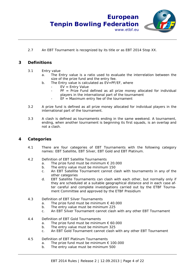

2.7 An EBT Tournament is recognized by its title or as EBT 2014 Stop XX.

#### **3 Definitions**

- 3.1 Entry value
	- a. The Entry value is a ratio used to evaluate the interrelation between the size of the prize fund and the entry fee.
	- b. The Entry value is calculated as EV=PF/EF, where
		- $EV =$  Entry Value
		- $PF = Prize$  Fund defined as all prize money allocated for individual players in the international part of the tournament
		- $EF =$  Maximum entry fee of the tournament
- 3.2 A prize fund is defined as all prize money allocated for individual players in the international part of the tournament.
- 3.3 A clash is defined as tournaments ending in the same weekend. A tournament, ending, when another tournament is beginning its first squads, is an overlap and not a clash.

#### **4 Categories**

- 4.1 There are four categories of EBT Tournaments with the following category names: EBT Satellite, EBT Silver, EBT Gold and EBT Platinum.
- 4.2 Definition of EBT Satellite Tournaments
	- a. The prize fund must be minimum  $\epsilon$  20.000
	- b. The entry value must be minimum 150
	- c. An EBT Satellite Tournament cannot clash with tournaments in any of the other categories
	- d. EBT Satellite Tournaments can clash with each other, but normally only if they are scheduled at a suitable geographical distance and in each case after careful and complete investigations carried out by the ETBF Tournament Committee and approved by the ETBF Presidium
- 4.3 Definition of EBT Silver Tournaments
	- a. The prize fund must be minimum  $\epsilon$  40.000
	- b. The entry value must be minimum 225
	- c. An EBT Silver Tournament cannot clash with any other EBT Tournament
- 4.4 Definition of EBT Gold Tournaments
	- a. The prize fund must be minimum  $\epsilon$  60.000
	- b. The entry value must be minimum 325
	- c. An EBT Gold Tournament cannot clash with any other EBT Tournament
- 4.5 Definition of EBT Platinum Tournaments
	- a. The prize fund must be minimum  $\epsilon$  100.000
	- b. The entry value must be minimum 500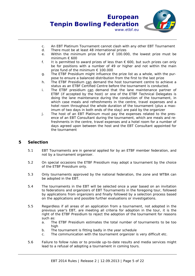

- c. An EBT Platinum Tournament cannot clash with any other EBT Tournament
- d. There must be at least 48 international prizes
- e. Within the minimum prize fund of  $\epsilon$  100.000, the lowest prize must be minimum € 600
- f. It is permitted to award prizes of less than  $\epsilon$  600, but such prizes can only be for positions with a number of 49 or higher and not within the main prize fund of the minimum € 100.000
- g. The ETBF Presidium might influence the prize list as a whole, with the purpose to ensure a balanced distribution from the first to the last prize
- h. The ETBF Presidium can demand the host tournament centre to achieve a status as an ETBF Certified Centre before the tournament is conducted.
- i. The ETBF presidium can demand that the lane maintenance partner of ETBF (if accepted by the host) or one of the ETBF Technical Delegates is doing the lane maintenance during the conduction of the tournament, in which case meals and refreshments in the centre, travel expenses and a hotel room throughout the whole duration of the tournament (plus a maximum of two days in both ends of the stay) are paid by the organizer
- j. The host of an EBT Platinum must pay the expenses related to the presence of an EBT Consultant during the tournament, which are meals and refreshments in the centre, travel expenses and a hotel room for a number of days agreed upon between the host and the EBT Consultant appointed for the tournament

#### **5 Selection**

- 5.1 EBT Tournaments are in general applied for by an ETBF member federation, and not by a tournament organiser.
- 5.2 On special occasions the ETBF Presidium may adopt a tournament by the choice of the ETBF Presidium only.
- 5.3 Only tournaments approved by the national federation, the zone and WTBA can be adopted in the EBT.
- 5.4 The tournaments in the EBT will be selected once a year based on an invitation to federations and organizers of EBT Tournaments in the foregoing tour, followed by applications from organizers and finally followed by a selection process based on the applications and possible further evaluations or investigations.
- 5.5 Regardless if all areas of an application from a tournament, not adopted in the previous year's EBT, are meeting all criteria for adoption in the tour, it is the right of the ETBF Presidium to reject the adoption of the tournament for reasons such as:
	- a. The ETBF Presidium estimates the total number of tournaments to be too high
	- b. The tournament is fitting badly in the year schedule
	- c. The communication with the tournament organizer is very difficult etc.
- 5.6 Failure to follow rules or to provide up-to-date results and media services might lead to a refusal of adopting a tournament in coming tours.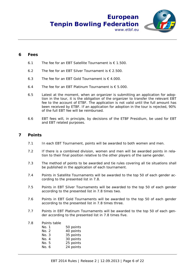

#### **6 Fees**

- 6.1 The fee for an EBT Satellite Tournament is  $€ 1.500$ .
- 6.2 The fee for an EBT Silver Tournament is  $\epsilon$  2.500.
- 6.3 The fee for an FBT Gold Tournament is  $\epsilon$  4.000.
- 6.4 The fee for an EBT Platinum Tournament is  $€ 5.000$ .
- 6.5 Latest at the moment, when an organizer is submitting an application for adoption in the tour, it is the obligation of the organizer to transfer the relevant EBT fee to the account of ETBF. The application is not valid until the full amount has been received by ETBF. If an application for adoption in the tour is rejected, 90% of the full EBT fee will be reimbursed*.*
- 6.6 EBT fees will, in principle, by decisions of the ETBF Presidium, be used for EBT and EBT related purposes.

#### **7 Points**

- 7.1 In each EBT Tournament, points will be awarded to both women and men.
- 7.2 If there is a combined division, women and men will be awarded points in relation to their final position relative to the other players of the same gender.
- 7.3 The method of points to be awarded and tie rules covering all tie situations shall be published in the application of each tournament.
- 7.4 Points in Satellite Tournaments will be awarded to the top 50 of each gender according to the presented list in 7.8.
- 7.5 Points in EBT Silver Tournaments will be awarded to the top 50 of each gender according to the presented list in 7.8 times two.
- 7.6 Points in EBT Gold Tournaments will be awarded to the top 50 of each gender according to the presented list in 7.8 times three.
- 7.7 Points in EBT Platinum Tournaments will be awarded to the top 50 of each gender according to the presented list in 7.8 times five.
- 7.8 Points table

| 50 points |
|-----------|
| 40 points |
| 35 points |
| 30 points |
| 25 points |
| 24 points |
|           |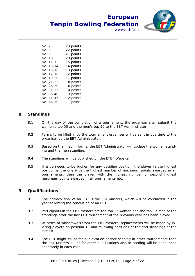**European**

www.etbf.eu

| 23 points |
|-----------|
| 22 points |
| 21 points |
| 20 points |
| 15 points |
| 14 points |
| 13 points |
| 12 points |
| 11 points |
| 8 points  |
| 6 points  |
| 4 points  |
| 3 points  |
| 2 points  |
| 1 point   |
|           |

### **8 Standings**

8.1 On the day of the completion of a tournament, the organiser shall submit the women's top 50 and the men's top 50 to the EBT Administrator.

**Tenpin Bowling Federation**

- 8.2 Forms to be filled in by the tournament organiser will be sent in due time to the organiser by the EBT Administrator.
- 8.3 Based on the filled in forms, the EBT Administrator will update the women standing and the men standing.
- 8.4 The standings will be published on the ETBF Website.
- 8.5 If a tie needs to be broken for any deciding position, the player in the highest position is the one with the highest number of maximum points awarded in all tournaments, then the player with the highest number of second highest maximum points awarded in all tournaments etc.

#### **9 Qualifications**

- 9.1 The primary final of an EBT is the EBT Masters, which will be conducted in the year following the conclusion of an EBT.
- 9.2 Participants in the EBT Masters are the top 12 women and the top 12 men of the standings after the last EBT tournament of the previous year has been played.
- 9.3 In cases of withdrawals from the EBT Masters, replacements will be made by inviting players on position 13 and following positions of the end standings of the last EBT.
- 9.4 The EBT might count for qualification and/or seeding in other tournaments than the EBT Masters. Rules for other qualifications and/or seeding will be announced separately in each case.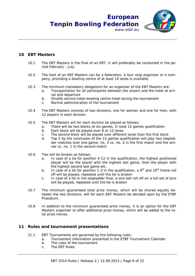## **European Tenpin Bowling Federation**



#### **10 EBT Masters**

- 10.1 The EBT Masters is the final of an EBT. It will preferably be conducted in the period February - July.
- 10.2 The host of an EBT Masters can be a federation, a tour stop organizer or a company, providing a bowling centre of at least 14 lanes is available.
- 10.3 The minimum mandatory obligations for an organizer of the EBT Masters are:
	- a. Transportation for all participants between the airport and the hotel at arrival and departure

www.ethf.eu

- b. Shuttle service hotel-bowling centre-hotel during the tournament
- c. Normal administration of the tournament
- 10.4 The EBT Masters consists of two divisions, one for women and one for men, with 12 players in each division.
- 10.5 The EBT Masters will for each division be played as follows:
	- a. There will be two blocks of six games, in total 12 games qualification
	- b. Each block will be played over 6 or 12 lanes
	- c. The second block will be played over different lanes than the first block
	- d. Top 3 by the conclusion of the 12 games qualification will play two stepladder matches over one game; no. 3 vs. no. 2 in the first match and the winner vs. no. 1 in the second match
- 10.6 Ties will be broken as follows:
	- a. In case of a tie for position 4-12 in the qualification, the highest positioned player will be the player with the highest last game, then the player with the highest second last game etc.
	- b. In case of a tie for position 1-3 in the qualification, a  $9<sup>th</sup>$  and 10<sup>th</sup> frame roll off will be played, repeated until the tie is broken
	- c. In case of a tie in the stepladder final, a one ball roll off on a full set of pins will be played, repeated until the tie is broken
- 10.7 The minimum guaranteed total prize money, which will be shared equally between the two divisions, will for each EBT Masters be decided upon by the ETBF Presidium.
- 10.8 In addition to the minimum guaranteed prize money, it is an option for the EBT Masters organizer to offer additional prize money, which will be added to the total prize money.

#### **11 Rules and tournament presentations**

- 11.1 EBT Tournaments are governed by the following rules:
	- a. Tournament information presented in the ETBF Tournament Calendar
	- b. The rules of the tournament
	- c. The EBT Rules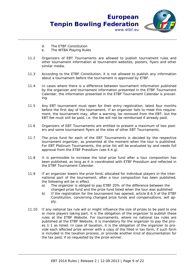



- d. The ETBF Constitution
- e. The WTBA Playing Rules
- 11.2 Organizers of EBT Tournaments are allowed to publish tournament rules and other tournament information at tournament websites, posters, flyers and other similar media.
- 11.3 According to the ETBF Constitution, it is not allowed to publish any information about a tournament before the tournament is approved by ETBF.
- 11.4 In cases where there is a difference between tournament information published by the organizer and tournament information presented in the ETBF Tournament Calendar, the information presented in the ETBF Tournament Calendar is prevailing.
- 11.5 Any EBT tournament must open for their entry registration, latest four months before the first day of the tournament. If an organizer fails to meet this requirement, the tournament may, after a warning, be removed from the EBT, but the EBT fee must still be paid, i.e. the fee will not be reimbursed if already paid.
- 11.6 Organizers of EBT Tournaments are entitled to present a maximum of two posters and some tournament flyers at the sites of other EBT Tournaments.
- 11.7 The prize fund for each of the EBT Tournaments is decided by the respective tournament organizer, as presented at the moment when the tour is published. For EBT Platinum Tournaments, the prize list will be evaluated by and needs full approval from the ETBF Presidium (see 4.4.g).
- 11.8 It is permissible to increase the total prize fund after a tour composition has been published, as long as it is coordinated with ETBF Presidium and reflected in the ETBF Tournament Calendar.
- 11.9 If an organizer lowers the prize fond, allocated for individual players in the international part of the tournament, after a tour composition has been published, the following will be in effect.
	- a) The organizer is obliged to pay ETBF 20% of the difference between the changed prize fund and the prize fund listed when the tour was published
	- b) If the registration for the tournament has opened, article 8.6.5 of the ETBF Constitution, concerning changed prize funds and compensations, will apply.
- 11.10 If any national tax rule will or might influence the size of prizes to be paid to one or more players taking part, it is the obligation of the organizer to publish these rules at the ETBF Website. For tournaments, where no national tax rules are published at the ETBF Website, it is mandatory for the organizer to pay the prizes 1:1 as listed. In case of taxation, it is the obligation of the organizer to provide each affected prize winner with a copy of the filled in tax form, if such form is included in the taxation process, or provide another kind of documentation for the tax paid, if so requested by the prize winner.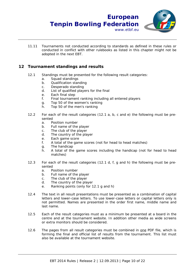

#### **12 Tournament standings and results**

- 12.1 Standings must be presented for the following result categories:
	- a. Squad standings
	- b. Qualification standing
	- c. Desperado standing
	- d. List of qualified players for the final
	- e. Each final step
	- f. Final tournament ranking including all entered players
	- g. Top 50 of the women's ranking
	- h. Top 50 of the men's ranking
- 12.2 For each of the result categories (12.1 a, b, c and e) the following must be presented
	- a. Position number
	- b. Full name of the player
	- c. The club of the player
	- d. The country of the player
	- e. Each game score
	- f. A total of the game scores (not for head to head matches)
	- g. The handicap
	- h. A total of the game scores including the handicap (not for head to head matches)
- 12.3 For each of the result categories (12.1 d, f, g and h) the following must be presented
	- a. Position number
	- b. Full name of the player
	- c. The club of the player
	- d. The country of the player
	- e. Ranking points (only for 12.1 g and h)
- 12.4 The text in all result presentations must be presented as a combination of capital letters and lower-case letters. To use lower-case letters or capital letters only is not permitted. Names are presented in the order first name, middle name and last name.
- 12.5 Each of the result categories must as a minimum be presented at a board in the centre and at the tournament website. In addition other media as wide screens or extra monitors should be considered.
- 12.6 The pages from all result categories must be combined in one PDF file, which is forming the final and official list of results from the tournament. This list must also be available at the tournament website.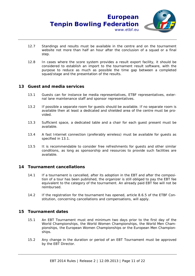- 12.7 Standings and results must be available in the centre and on the tournament website not more than half an hour after the conclusion of a squad or a final step.
- 12.8 In cases where the score system provides a result export facility, it should be considered to establish an import to the tournament result software, with the purpose to reduce as much as possible the time gap between a completed squad/stage and the presentation of the results.

#### **13 Guest and media services**

- 13.1 Guests can for instance be media representatives, ETBF representatives, external lane maintenance staff and sponsor representatives.
- 13.2 If possible a separate room for guests should be available. If no separate room is available then at least a dedicated and shielded area of the centre must be provided.
- 13.3 Sufficient space, a dedicated table and a chair for each guest present must be available.
- 13.4 A fast Internet connection (preferably wireless) must be available for guests as specified in 13.1.
- 13.5 It is recommendable to consider free refreshments for guests and other similar conditions, as long as sponsorship and resources to provide such facilities are available.

#### **14 Tournament cancellations**

- 14.1 If a tournament is cancelled, after its adoption in the EBT and after the composition of a tour has been published, the organizer is still obliged to pay the EBT fee equivalent to the category of the tournament. An already paid EBT fee will not be reimbursed.
- 14.2 If the registration for the tournament has opened, article 8.6.5 of the ETBF Constitution, concerning cancellations and compensations, will apply.

#### **15 Tournament dates**

- 15.1 An EBT Tournament must end minimum two days prior to the first day of the World Championships, the World Women Championships, the World Men Championships, the European Women Championships or the European Men Championships.
- 15.2 Any change in the duration or period of an EBT Tournament must be approved by the EBT Director.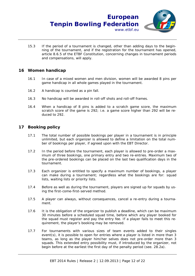

15.3 If the period of a tournament is changed, other than adding days to the beginning of the tournament, and if the registration for the tournament has opened, article 8.6.5 of the ETBF Constitution, concerning changes in tournament periods and compensations, will apply.

#### **16 Women handicap**

- 16.1 In case of a mixed women and men division, women will be awarded 8 pins per game handicap in all whole games played in the tournament.
- 16.2 A handicap is counted as a pin fall.
- 16.3 No handicap will be awarded in roll-off shots and roll-off frames.
- 16.4 When a handicap of 8 pins is added to a scratch game score, the maximum scratch score of the game is 292; i.e. a game score higher than 292 will be reduced to 292.

#### **17 Booking policy**

- 17.1 The total number of possible bookings per player in a tournament is in principle unlimited, but each organizer is allowed to define a limitation on the total number of bookings per player, if agreed upon with the EBT Director.
- 17.2 In the period before the tournament, each player is allowed to pre-order a maximum of three bookings, one primary entry and two re-entries. Maximum two of the pre-ordered bookings can be placed on the last two qualification days in the tournament.
- 17.3 Each organizer is entitled to specify a maximum number of bookings, a player can make during a tournament; regardless what the bookings are for: squad lists, waiting lists or priority lists.
- 17.4 Before as well as during the tournament, players are signed up for squads by using the first-come-first-served method.
- 17.5 A player can always, without consequences, cancel a re-entry during a tournament.
- 17.6 It is the obligation of the organizer to publish a deadline, which can be maximum 30 minutes before a scheduled squad time, before which any player booked for the squad must register and pay the entry fee. If a player fails to meet this requirement, the player's booking may be removed.
- 17.7 For tournaments with various sizes of team events added to their singles event(s), it is possible to open for entries where a player is listed in more than 3 teams, as long as the player him/her selves does not pre-order more than 3 squads. This extended entry possibility must, if introduced by the organizer, not begin before at the earliest the first day of the penalty period (see. 28.2a).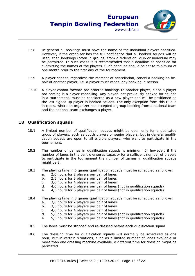

- 17.8 In general all bookings must have the name of the individual players specified. However, if the organizer has the full confidence that all booked squads will be used, then bookings (often in groups) from a federation, club or individual may be permitted. In such cases it is recommended that a deadline be specified for submitting the names of the players. Such deadline should be set to minimum of one month prior to the first day of the tournament.
- 17.9 A player cannot, regardless the moment of cancellation, cancel a booking on behalf of another player, i.e. a player must cancel any booking in person.
- 17.10 A player cannot forward pre-ordered bookings to another player, since a player not coming is a player cancelling. Any player, not previously booked for squads in a tournament, must be considered as a new player and will be positioned as the last signed up player in booked squads. The only exception from this rule is in cases, where an organizer has accepted a group booking from a national team and the national team exchanges a player.

#### **18 Qualification squads**

- 18.1 A limited number of qualification squads might be open only for a dedicated group of players, such as youth players or senior players, but in general qualification squads are open to all eligible players, who want to participate in the tournament.
- 18.2 The number of games in qualification squads is minimum 6; however, if the number of lanes in the centre ensures capacity for a sufficient number of players to participate in the tournament the number of games in qualification squads might be 8.
- 18.3 The playing time in 6 games qualification squads must be scheduled as follows:
	- a. 2,0 hours for 2 players per pair of lanes
	- b. 2,5 hours for 3 players per pair of lanes
	- c. 3,0 hours for 4 players per pair of lanes
	- d. 4,0 hours for 5 players per pair of lanes (not in qualification squads)
	- e. 4,5 hours for 6 players per pair of lanes (not in qualification squads)
- 18.4 The playing time in 8 games qualification squads must be scheduled as follows: a. 3,0 hours for 2 players per pair of lanes
	- b. 3,5 hours for 3 players per pair of lanes
	- c. 4,0 hours for 4 players per pair of lanes
	-
	- d. 5,0 hours for 5 players per pair of lanes (not in qualification squads)
	- e. 5,5 hours for 6 players per pair of lanes (not in qualification squads)
- 18.5 The lanes must be stripped and re-dressed before each qualification squad.
- 18.6 The dressing time for qualification squads will normally be scheduled as one hour, but in certain situations, such as a limited number of lanes available or more than one dressing machine available, a different time for dressing might be permitted.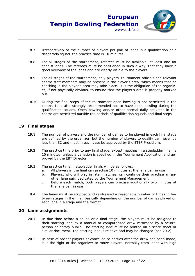

- 18.7 Irrespectively of the number of players per pair of lanes in a qualification or a desperado squad, the practice time is 10 minutes.
- 18.8 For all stages of the tournament, referees must be available, at least one for each 8 lanes. The referees must be positioned in such a way, that they have a good overview of the lanes and are clearly visible to the players.
- 18.9 For all stages of the tournament, only players, tournament officials and relevant centre staff members may be present in the player's area, which means that no coaching in the player's area may take place. It is the obligation of the organizer, if not physically obvious, to ensure that the player's area is properly marked out.
- 18.10 During the final steps of the tournament open bowling is not permitted in the centre. It is also strongly recommended not to have open bowling during the qualification squads. Open bowling and/or other normal daily activities in the centre are permitted outside the periods of qualification squads and final steps.

#### **19 Final stages**

- 19.1 The number of players and the number of games to be played in each final stage are defined by the organizer, but the number of players to qualify can never be less than 32 and must in each case be approved by the ETBF Presidium.
- 19.2 The practice time prior to any final stage, except matches in a stepladder final, is 10 minutes, unless a variation is specified in the Tournament Application and approved by the EBT Director.
- 19.3 The practice time in stepladder finals will be as follows:
	- a. All players in the final can practise 10 minutes at the lane pair in use
	- b. Players, who will play in later matches, can continue their practise an another lane pair, dedicated by the Tournament Management
	- c. Before each match, both players can practise additionally two minutes at the lane pair in use
- 19.4 The lanes must be stripped and re-dressed a reasonable number of times in between stages in the final, basically depending on the number of games played on each lane in a stage and the format.

#### **20 Lane assignments**

- 20.1 In due time before a squad or a final stage, the players must be assigned to their starting lane by a manual or computerized draw witnessed by a neutral person or notary public. The starting lane must be printed on a score sheet or similar document. The starting lane is relative and may be changed (see 20.2).
- 20.2 In case of absent players or cancelled re-entries after the draw has been made, it is the right of the organizer to move players, normally from lanes with high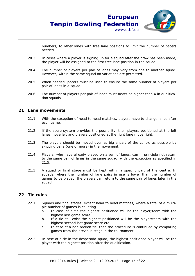

numbers, to other lanes with free lane positions to limit the number of pacers needed.

- 20.3 In cases where a player is signing up for a squad after the draw has been made, the player will be assigned to the first free lane position in the squad.
- 20.4 The number of players per pair of lanes may vary from one to another squad. However, within the same squad no variations are permitted.
- 20.5 When needed, pacers must be used to ensure the same number of players per pair of lanes in a squad.
- 20.6 The number of players per pair of lanes must never be higher than 4 in qualification squads.

#### **21 Lane movements**

- 21.1 With the exception of head to head matches, players have to change lanes after each game.
- 21.2 If the score system provides the possibility, then players positioned at the left lanes move left and players positioned at the right lane move right.
- 21.3 The players should be moved over as big a part of the centre as possible by skipping pairs (one or more) in the movement.
- 21.4 Players, who have already played on a pair of lanes, can in principle not return to the same pair of lanes in the same squad, with the exception as specified in 21.5.
- 21.5 A squad or final stage must be kept within a specific part of the centre. In squads, where the number of lane pairs in use is lower than the number of games to be played, the players can return to the same pair of lanes later in the squad.

#### **22 Tie rules**

- 22.1 Squads and final stages, except head to head matches, where a total of a multiple number of games is counting
	- a. In case of a tie the highest positioned will be the player/team with the highest last game score
	- b. If a tie still exist the highest positioned will be the player/team with the highest second last game score etc
	- c. In case of a non broken tie, then the procedure is continued by comparing games from the previous stage in the tournament
- 22.2 In case of a tie in the desperado squad, the highest positioned player will be the player with the highest position after the qualification.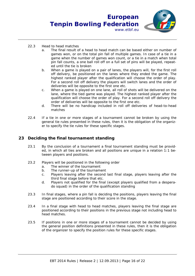

- 22.3 Head to head matches
	- a. The final result of a head to head match can be based either on number of games won, or on the total pin fall of multiple games. In case of a tie in a game when the number of games won count, or a tie in a match when total pin fall counts, a one ball roll off on a full set of pins will be played, repeated until the tie is broken
	- b. When a game is played on a pair of lanes, the players will, for the first roll off delivery, be positioned on the lanes where they ended the game. The highest ranked player after the qualification will choose the order of play. For a second roll off delivery the players will switch lanes and the order of deliveries will be opposite to the first one etc.
	- c. When a game is played on one lane, all roll of shots will be delivered on the lane, where the tied game was played. The highest ranked player after the qualification will choose the order of play. For a second roll off delivery the order of deliveries will be opposite to the first one etc.
	- d. There will be no handicap included in roll off deliveries of head-to-head matches
- 22.4 If a tie in one or more stages of a tournament cannot be broken by using the general tie rules presented in these rules, then it is the obligation of the organizer to specify the tie rules for these specific stages.

#### **23 Deciding the final tournament standing**

- 23.1 By the conclusion of a tournament a final tournament standing must be provided, in which all ties are broken and all positions are unique in a relation 1:1 between players and positions.
- 23.2 Players will be positioned in the following order
	- a. The winner of the tournament
	- b. The runner-up of the tournament
	- c. Players leaving after the second last final stage, players leaving after the third final stage before that etc.
	- d. Players not qualified for the final (except players qualified from a desperado squad) in the order of the qualification standing
- 23.3 In final stages, where a pin fall is deciding the positions, players leaving the final stage are positioned according to their score in the stage.
- 23.4 In a final stage with head to head matches, players leaving the final stage are positioned according to their positions in the previous stage not including head to head matches.
- 23.5 If positions in one or more stages of a tournament cannot be decided by using the general position definitions presented in these rules, then it is the obligation of the organizer to specify the position rules for these specific stages.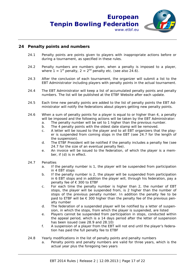

#### **24 Penalty points and numbers**

- 24.1 Penalty points are points given to players with inappropriate actions before or during a tournament, as specified in these rules.
- 24.2 Penalty numbers are numbers given, when a penalty is imposed to a player, where  $1 = 1$ <sup>st</sup> penalty,  $2 = 2^{nd}$  penalty etc. (see also 24.6).
- 24.3 After the conclusion of each tournament, the organizer will submit a list to the EBT Administrator including players with penalty points in the actual tournament.
- 24.4 The EBT Administrator will keep a list of accumulated penalty points and penalty numbers. The list will be published at the ETBF Website after each update.
- 24.5 Each time new penalty points are added to the list of penalty points the EBT Administrator will notify the federations about players getting new penalty points.
- 24.6 When a sum of penalty points for a player is equal to or higher than 4, a penalty will be imposed and the following actions will be taken by the EBT Administrator:
	- a. The penalty number will be set to 1 higher than the previous number.
	- b. The 4 penalty points with the oldest date stamp will be removed.
	- c. A letter will be issued to the player and to all EBT organizers that the player is suspended from coming stops in the EBT (see 24.7 for the length of the suspension).
	- d. The ETBF President will be notified if the penalty includes a penalty fee (see 24.7 for the size of an eventual penalty fee).
	- e. An invoice will be issued to the federation, of which the player is a member, if (d) is in effect.
- 24.7 Penalties
	- a. If the penalty number is 1, the player will be suspended from participation in 4 EBT stops
	- b. If the penalty number is 2, the player will be suspended from participation in 6 EBT stops and in addition the player will, through his federation, pay a penalty fee of € 300 to ETBF
	- c. For each time the penalty number is higher than 2, the number of EBT stops, the player will be suspended from, is 2 higher than the number of stops of the previous penalty number. In addition the penalty fee to be paid to ETBF will be  $\epsilon$  300 higher than the penalty fee of the previous penalty number
	- d. The federation of a suspended player will be notified by a letter of suspension, in which the stops, from which the player is suspended, are listed
	- e. Players cannot be suspended from participation in stops, conducted within the appeal period, which is a 14 days period after the letter of suspension has been issued (see 28.9 and 28.10)
	- f. A suspension of a player from the EBT will not end until the player's federation has paid the full penalty fee to ETBF
- 24.8 Yearly modifications in the list of penalty points and penalty numbers
	- a. Penalty points and penalty numbers are valid for three years, which is the actual year plus the foregoing two years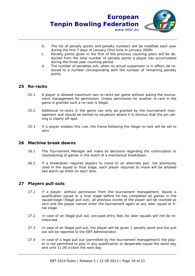

- b. The list of penalty points and penalty numbers will be modified each year during the first 7 days of January (first time in January 2009)
- c. Penalty points given in the first of the previous counting years will be deducted from the total number of penalty points a player has accumulated during the three year counting period
- d. The number of penalties will, when no actual suspension is in effect, be reduced to a number corresponding with the number of remaining penalty points

#### **25 Re-racks**

- 25.1 A player is allowed maximum two re-racks per game without asking the tournament management for permission. Unless permission for another re-rack in the game is granted such a re-rack is illegal.
- 25.2 Additional re-racks in the game can only be granted by the tournament management and should be limited to situations where it is obvious that the pin setting is clearly off spot.
- 25.3 If a player violates this rule, the frame following the illegal re-rack will be set to zero.

#### **26 Machine break downs**

- 26.1 The Tournament Manager will make all decisions regarding the continuation or rescheduling of games in the event of a mechanical breakdown.
- 26.2 If a breakdown requires players to move to an alternate pair, not previously used in the squad or final stage, each player required to move will be allowed two warm-up shots on each lane.

#### **27 Players pull outs**

- 27.1 If a player, without permission from the tournament management, leaves a qualification squad or a final stage before he has completed all games in the squad/stage (illegal pull out), all previous scores of the player will be counted as zero and the player cannot enter the tournament again at any later squad or final stage.
- 27.2 In case of an illegal pull out, pre-paid entry fees for later squads will not be reimbursed.
- 27.3 In case of an illegal pull out, the player will be given 1 penalty point and the pull out will be reported to the EBT Administrator.
- 27.4 In case of a legal pull out (permitted by the tournament management) the player is not permitted to play in any qualification or desperado squad the same day and until 11.00 o'clock the next day.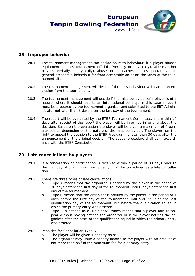

#### **28 Improper behavior**

- 28.1 The tournament management can decide on miss-behaviour, if a player abuses equipment, abuses tournament officials (verbally or physically), abuses other players (verbally or physically), abuses other coaches, abuses spectators or in general presents a behaviour far from acceptable on or off the lanes of the tournament site.
- 28.2 The tournament management will decide if the miss-behaviour will lead to an exclusion from the tournament.
- 28.3 The tournament management will decide if the miss-behaviour of a player is of a nature, where it should lead to an international penalty. In this case a report must be prepared by the tournament organizer and submitted to the EBT Administrator not later than 3 days after the last day of the tournament.
- 28.4 The report will be evaluated by the ETBF Tournament Committee, and within 14 days after receipt of the report the player will be informed in writing about the decision. Based on the evaluation the player will be given a maximum of 4 penalty points, depending on the nature of the miss-behaviour. The player has the right to appeal the decision to the ETBF Presidium no later than 30 days after the announcement of the original decision. The appeal procedure shall be in accordance with the ETBF Constitution.

### **29 Late cancellations by players**

- 29.1 If a cancellation of participation is received within a period of 30 days prior to the first day of or during a tournament, it will be considered as a late cancellation.
- 29.2 There are three types of late cancellations
	- a. Type A means that the organizer is notified by the player in the period of 30 days before the first day of the tournament until 8 days before the first day of the tournament
	- b. Type B means that the organizer is notified by the player in the period of 7 days before the first day of the tournament until and including the last qualification day of the tournament, but before the qualification squad in which the primary entry was ordered
	- c. Type C is defined as a "No Show", which means that a player fails to appear without having notified the organizer or if the player notifies the organizer after the start of the qualification squad in which the primary entry was ordered
- 29.3 Penalties for Cancellation Type A
	- a. The player will be given 1 penalty point
	- b. The organizer may issue a penalty invoice to the player with an amount of not more than half of the maximum fee for a primary entry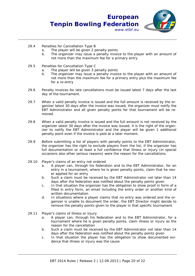

- 29.4 Penalties for Cancellation Type B
	- a. The player will be given 2 penalty points
	- b. The organizer may issue a penalty invoice to the player with an amount of not more than the maximum fee for a primary entry
- 29.5 Penalties for Cancellation Type C
	- a. The player will be given 3 penalty points
	- b. The organizer may issue a penalty invoice to the player with an amount of not more than the maximum fee for a primary entry plus the maximum fee for a re-entry
- 29.6 Penalty invoices for late cancellations must be issued latest 7 days after the last day of the tournament.
- 29.7 When a valid penalty invoice is issued and the full amount is received by the organizer latest 30 days after the invoice was issued, the organizer must notify the EBT Administrator and all given penalty points for that tournament will be removed.
- 29.8 When a valid penalty invoice is issued and the full amount is not received by the organizer latest 30 days after the invoice was issued, it is the right of the organizer to notify the EBT Administrator and the player will be given 1 additional penalty point even if the invoice is paid at a later moment.
- 29.9 Before submitting a list of players with penalty points to the EBT Administrator, the organizer has the right to exclude players from the list, if the organizer has full documentation or at least a full confidence that illness or injury (in special occasions also other serious reasons) were the reason for the cancellations.
- 29.10 Player's claims of an entry not ordered
	- a. A player can, through his federation and to the EBT Administrator, for an entry in a tournament, where he is given penalty points, claim that he never applied for an entry
	- b. Such a claim must be received by the EBT Administrator not later than 14 days after the federation was notified about the penalty points given
	- c. In that situation the organizer has the obligation to show proof in form of a filled in entry form, an email including the entry order or another kind of written documentation
	- d. In situations where a player claims that no entry was ordered and the organizer is unable to document the order, the EBT Director might decide to remove the penalty points given to the player in that specific tournament
- 29.11 Player's claims of illness or injury
	- a. A player can, through his federation and to the EBT Administrator, for a tournament where he is given penalty points, claim illness or injury as the reason for the cancellation
	- b. Such a claim must be received by the EBT Administrator not later than 14 days after the federation was notified about the penalty points given
	- c. In that situation the player has the obligation to show documented evidence that illness or injury was the cause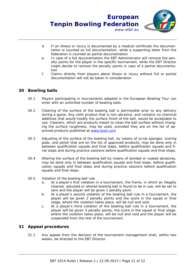- d. If an illness or injury is documented by a medical certificate the documentation is counted as full documentation, while a supporting letter from the federation is counted as partial documentation
- e. In case of a full documentation the EBT Administrator will remove the penalty points for the player in the specific tournament, while the EBT Director might decide to remove the penalty points in case of a partial documentation
- f. Claims directly from players about illness or injury without full or partial documentation will not be taken in consideration

#### **30 Bowling balls**

- 30.1 Players participating in tournaments adopted in the European Bowling Tour can enter with an unlimited number of bowling balls.
- 30.2 Cleaning of the surface of the bowling ball is permissible prior to any delivery during a game. Any cloth product that is non-abrasive, and contains no chemical additives that would modify the surface finish of the ball, would be acceptable to use. Cleaners, which are products meant to clean the ball surface without changing the surface roughness, may be used, provided they are on the list of approved products published at www.bowl.com
- 30.3 Adjusting of the surface of the bowling ball, by means of scrub sponges, scoring pads, and polish that are on the list of approved products, may be done only in between qualification squads and final steps, before qualification squads and final steps and during practice sessions before qualification squads and final steps.
- 30.4 Altering the surface of the bowling ball by means of bonded or coated abrasives, may be done only in between qualification squads and final steps, before qualification squads and final steps and during practice sessions before qualification squads and final steps.
- 30.5 Violation of the bowling ball rule
	- a. At a player's first violation in a tournament, the frame, in which an illegally cleaned, adjusted or altered bowling ball is found to be in use, will be set to zero and the player will be given 1 penalty point.
	- b. At a player's second violation of the bowling ball rule in a tournament, the player will be given 2 penalty points and the score in the squad or final stage, where the violation takes place, will be null and void.
	- c. At a player's third violation of the bowling ball rule in a tournament, the player will be given 3 penalty points, the score in the squad or final stage, where the violation takes place, will be null and void and the player will be suspended from the rest of the tournament.

### **31 Appeal procedures**

31.1 Any appeal from the decision of the tournament management shall, within two weeks, be directed to the EBT Director.